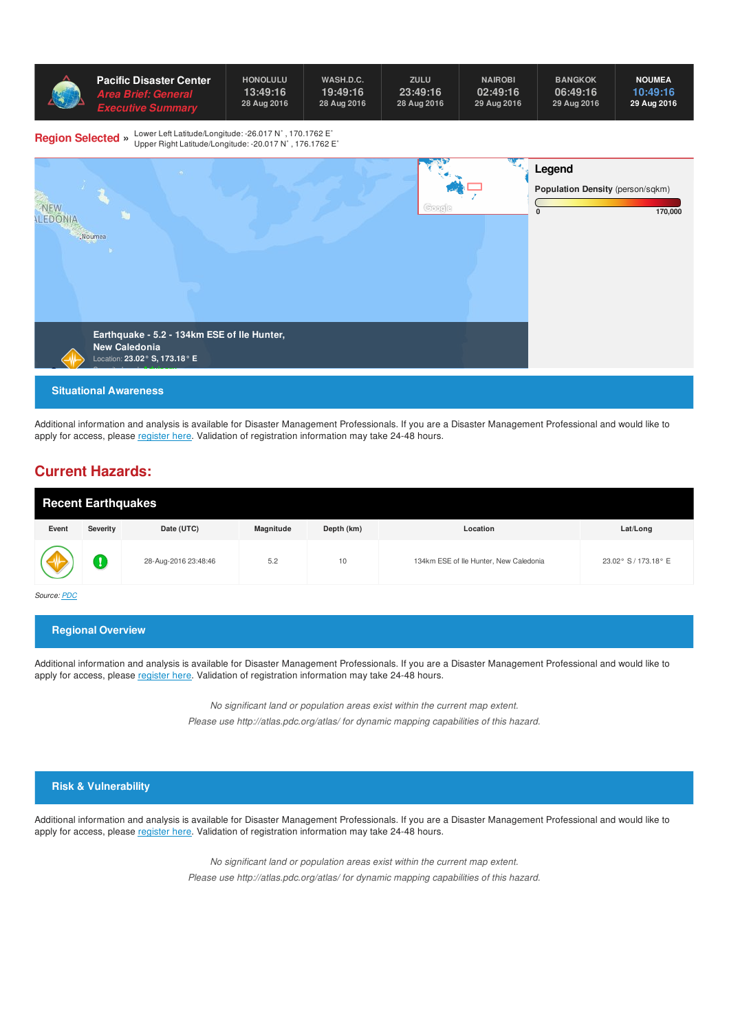

Additional information and analysis is available for Disaster Management Professionals. If you are a Disaster Management Professional and would like to apply for access, please [register](http://emops.pdc.org/emops/public/registeruser.jsp) here. Validation of registration information may take 24-48 hours.

## **Current Hazards:**

| <b>Recent Earthquakes</b> |          |                      |           |            |                                        |                      |  |
|---------------------------|----------|----------------------|-----------|------------|----------------------------------------|----------------------|--|
| Event                     | Severity | Date (UTC)           | Magnitude | Depth (km) | Location                               | Lat/Long             |  |
| $\sqrt{V}$                |          | 28-Aug-2016 23:48:46 | 5.2       | 10         | 134km ESE of Ile Hunter, New Caledonia | 23.02° S / 173.18° E |  |

*Source: [PDC](http://ghin.pdc.org/ghin/catalog/search/resource/details.page?uuid=%7B0BF1F7A6-7758-4C51-BF42-22D8586DB172%7D)*

**Regional Overview**

Additional information and analysis is available for Disaster Management Professionals. If you are a Disaster Management Professional and would like to apply for access, please [register](http://emops.pdc.org/emops/public/registeruser.jsp) here. Validation of registration information may take 24-48 hours.

> *No significant land or population areas exist within the current map extent. Please use http://atlas.pdc.org/atlas/ for dynamic mapping capabilities of this hazard.*

#### **Risk & Vulnerability**

Additional information and analysis is available for Disaster Management Professionals. If you are a Disaster Management Professional and would like to apply for access, please [register](http://emops.pdc.org/emops/public/registeruser.jsp) here. Validation of registration information may take 24-48 hours.

> *No significant land or population areas exist within the current map extent. Please use http://atlas.pdc.org/atlas/ for dynamic mapping capabilities of this hazard.*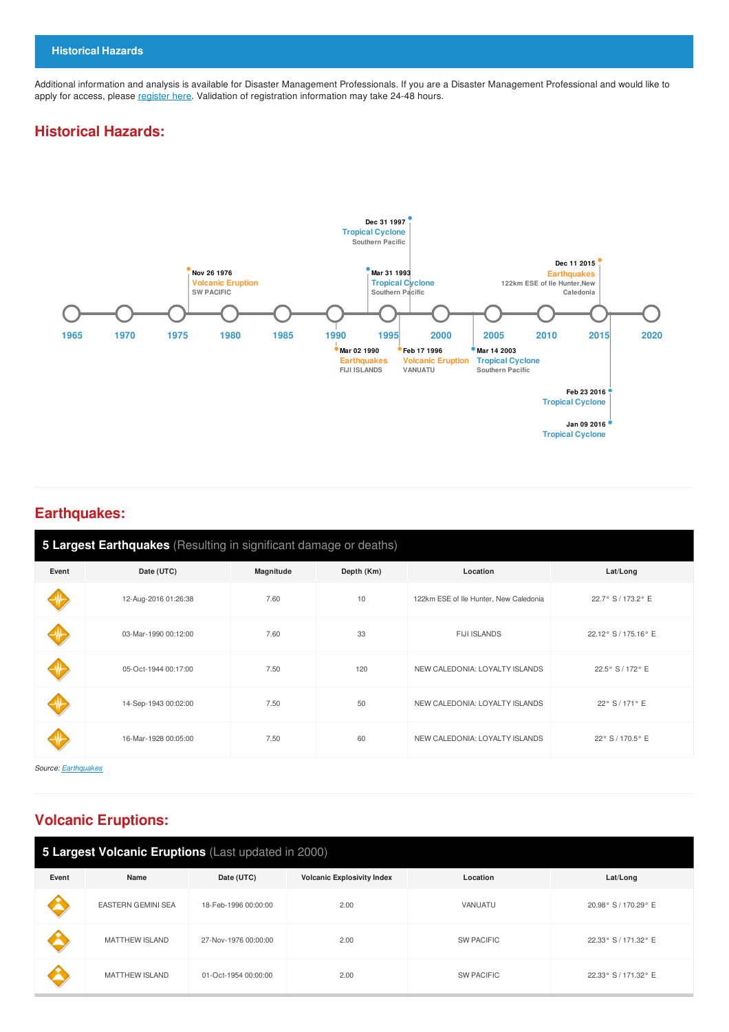Additional information and analysis is available for Disaster Management Professionals. If you are a Disaster Management Professional and would like to apply for access, please [register](http://emops.pdc.org/emops/public/registeruser.jsp) here. Validation of registration information may take 24-48 hours.

### **Historical Hazards:**



#### **Earthquakes:**

| 5 Largest Earthquakes (Resulting in significant damage or deaths) |                      |           |            |                                        |                      |  |
|-------------------------------------------------------------------|----------------------|-----------|------------|----------------------------------------|----------------------|--|
| Event                                                             | Date (UTC)           | Magnitude | Depth (Km) | Location                               | Lat/Long             |  |
|                                                                   | 12-Aug-2016 01:26:38 | 7.60      | 10         | 122km ESE of Ile Hunter, New Caledonia | 22.7° S / 173.2° E   |  |
|                                                                   | 03-Mar-1990 00:12:00 | 7.60      | 33         | <b>FIJI ISLANDS</b>                    | 22.12° S / 175.16° E |  |
|                                                                   | 05-Oct-1944 00:17:00 | 7.50      | 120        | NEW CALEDONIA: LOYALTY ISLANDS         | 22.5° S / 172° E     |  |
|                                                                   | 14-Sep-1943 00:02:00 | 7.50      | 50         | NEW CALEDONIA: LOYALTY ISLANDS         | 22° S / 171° E       |  |
|                                                                   | 16-Mar-1928 00:05:00 | 7.50      | 60         | NEW CALEDONIA: LOYALTY ISLANDS         | 22° S / 170.5° E     |  |

*Source: [Earthquakes](http://ghin.pdc.org/ghin/catalog/search/resource/details.page?uuid=%7B42D1C8CA-0E29-41B7-A7E4-F493F3701DAC%7D)*

# **Volcanic Eruptions:**

| 5 Largest Volcanic Eruptions (Last updated in 2000) |                                                                     |                      |          |                   |                      |  |
|-----------------------------------------------------|---------------------------------------------------------------------|----------------------|----------|-------------------|----------------------|--|
| Event                                               | <b>Volcanic Explosivity Index</b><br>Name<br>Date (UTC)<br>Location |                      | Lat/Long |                   |                      |  |
|                                                     | <b>EASTERN GEMINI SEA</b>                                           | 18-Feb-1996 00:00:00 | 2.00     | VANUATU           | 20.98° S / 170.29° E |  |
|                                                     | <b>MATTHEW ISLAND</b>                                               | 27-Nov-1976 00:00:00 | 2.00     | <b>SW PACIFIC</b> | 22.33° S / 171.32° E |  |
|                                                     | <b>MATTHEW ISLAND</b>                                               | 01-Oct-1954 00:00:00 | 2.00     | <b>SW PACIFIC</b> | 22.33° S / 171.32° E |  |